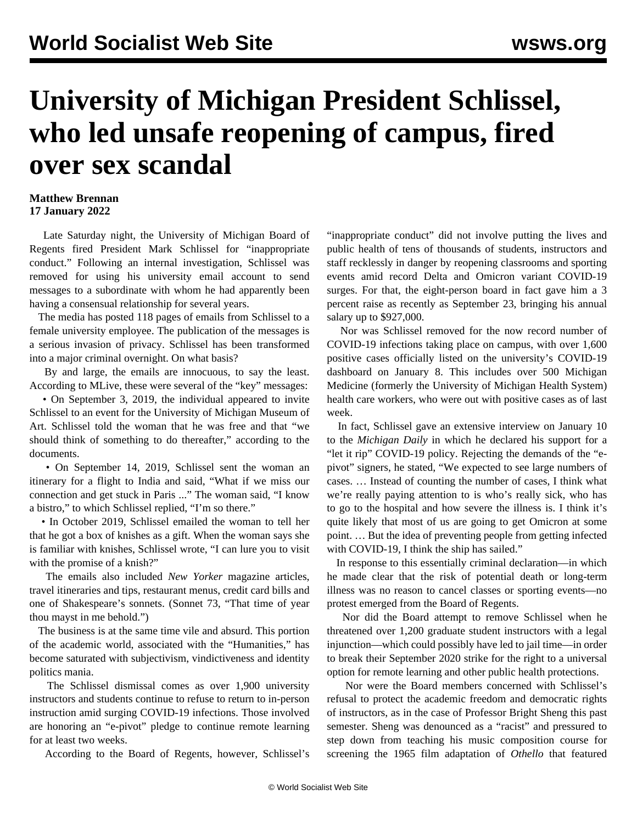## **University of Michigan President Schlissel, who led unsafe reopening of campus, fired over sex scandal**

## **Matthew Brennan 17 January 2022**

 Late Saturday night, the University of Michigan Board of Regents fired President Mark Schlissel for "inappropriate conduct." Following an internal investigation, Schlissel was removed for using his university email account to send messages to a subordinate with whom he had apparently been having a consensual relationship for several years.

 The media has posted 118 pages of emails from Schlissel to a female university employee. The publication of the messages is a serious invasion of privacy. Schlissel has been transformed into a major criminal overnight. On what basis?

 By and large, the emails are innocuous, to say the least. According to MLive, these were several of the "key" messages:

 • On September 3, 2019, the individual appeared to invite Schlissel to an event for the University of Michigan Museum of Art. Schlissel told the woman that he was free and that "we should think of something to do thereafter," according to the documents.

 • On September 14, 2019, Schlissel sent the woman an itinerary for a flight to India and said, "What if we miss our connection and get stuck in Paris ..." The woman said, "I know a bistro," to which Schlissel replied, "I'm so there."

 • In October 2019, Schlissel emailed the woman to tell her that he got a box of knishes as a gift. When the woman says she is familiar with knishes, Schlissel wrote, "I can lure you to visit with the promise of a knish?"

 The emails also included *New Yorker* magazine articles, travel itineraries and tips, restaurant menus, credit card bills and one of Shakespeare's sonnets. (Sonnet 73, "That time of year thou mayst in me behold.")

 The business is at the same time vile and absurd. This portion of the academic world, associated with the "Humanities," has become saturated with subjectivism, vindictiveness and identity politics mania.

 The Schlissel dismissal comes as over 1,900 university instructors and students continue to refuse to return to in-person instruction amid surging COVID-19 infections. Those involved are honoring an "e-pivot" pledge to continue remote learning for at least two weeks.

According to the Board of Regents, however, Schlissel's

"inappropriate conduct" did not involve putting the lives and public health of tens of thousands of students, instructors and staff recklessly in danger by reopening classrooms and sporting events amid record Delta and Omicron variant COVID-19 surges. For that, the eight-person board in fact gave him a 3 percent raise as recently as September 23, bringing his annual salary up to \$927,000.

 Nor was Schlissel removed for the now record number of COVID-19 infections taking place on campus, with over 1,600 positive cases officially listed on the university's COVID-19 dashboard on January 8. This includes over 500 Michigan Medicine (formerly the University of Michigan Health System) health care workers, who were out with positive cases as of last week.

 In fact, Schlissel gave an extensive interview on January 10 to the *Michigan Daily* in which he declared his support for a "let it rip" COVID-19 policy. Rejecting the demands of the "epivot" signers, he stated, "We expected to see large numbers of cases. … Instead of counting the number of cases, I think what we're really paying attention to is who's really sick, who has to go to the hospital and how severe the illness is. I think it's quite likely that most of us are going to get Omicron at some point. … But the idea of preventing people from getting infected with COVID-19, I think the ship has sailed."

 In response to this essentially criminal declaration—in which he made clear that the risk of potential death or long-term illness was no reason to cancel classes or sporting events—no protest emerged from the Board of Regents.

 Nor did the Board attempt to remove Schlissel when he threatened over 1,200 graduate student instructors with a legal injunction—which could possibly have led to jail time—in order to break their September 2020 strike for the right to a universal option for remote learning and other public health protections.

 Nor were the Board members concerned with Schlissel's refusal to protect the academic freedom and democratic rights of instructors, as in the case of Professor Bright Sheng this past semester. Sheng was denounced as a "racist" and pressured to step down from teaching his music composition course for screening the 1965 film adaptation of *Othello* that featured